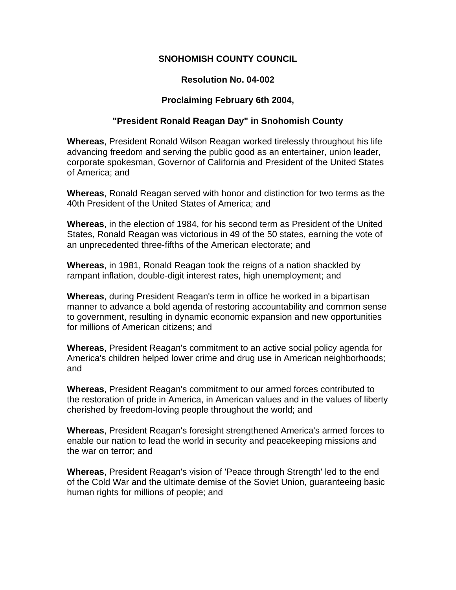## **SNOHOMISH COUNTY COUNCIL**

# **Resolution No. 04-002**

## **Proclaiming February 6th 2004,**

### **"President Ronald Reagan Day" in Snohomish County**

**Whereas**, President Ronald Wilson Reagan worked tirelessly throughout his life advancing freedom and serving the public good as an entertainer, union leader, corporate spokesman, Governor of California and President of the United States of America; and

**Whereas**, Ronald Reagan served with honor and distinction for two terms as the 40th President of the United States of America; and

**Whereas**, in the election of 1984, for his second term as President of the United States, Ronald Reagan was victorious in 49 of the 50 states, earning the vote of an unprecedented three-fifths of the American electorate; and

**Whereas**, in 1981, Ronald Reagan took the reigns of a nation shackled by rampant inflation, double-digit interest rates, high unemployment; and

**Whereas**, during President Reagan's term in office he worked in a bipartisan manner to advance a bold agenda of restoring accountability and common sense to government, resulting in dynamic economic expansion and new opportunities for millions of American citizens; and

**Whereas**, President Reagan's commitment to an active social policy agenda for America's children helped lower crime and drug use in American neighborhoods; and

**Whereas**, President Reagan's commitment to our armed forces contributed to the restoration of pride in America, in American values and in the values of liberty cherished by freedom-loving people throughout the world; and

**Whereas**, President Reagan's foresight strengthened America's armed forces to enable our nation to lead the world in security and peacekeeping missions and the war on terror; and

**Whereas**, President Reagan's vision of 'Peace through Strength' led to the end of the Cold War and the ultimate demise of the Soviet Union, guaranteeing basic human rights for millions of people; and